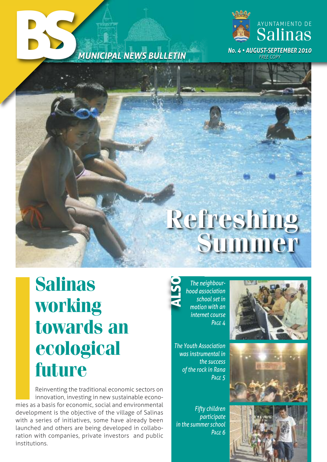



# **Refreshing Summer**

# **Salinas working towards an ecological future**

Reinventing the traditional economic sectors on innovation, investing in new sustainable economies as a basis for economic, social and environmental development is the objective of the village of Salinas with a series of initiatives, some have already been launched and others are being developed in collaboration with companies, private investors and public institutions.

*The neighbourhood association school set in motion with an internet course Page 4* AL $\boldsymbol{\mathsf{S}}$ O

*The Youth association was instrumental in the success of the rock in Rana Page 5*

*Fifty children participate in the summer school Page 6*





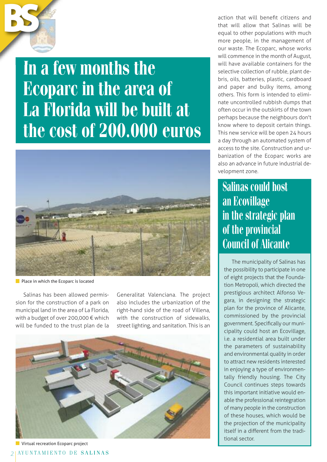

**In a few months the Ecoparc in the area of La Florida will be built at the cost of 200.000 euros**



**Place in which the Ecoparc is located** 

Salinas has been allowed permission for the construction of a park on municipal land in the area of La Florida, with a budget of over 200,000 € which will be funded to the trust plan de la

Generalitat Valenciana. The project also includes the urbanization of the right-hand side of the road of Villena, with the construction of sidewalks. street lighting, and sanitation. This is an



**Virtual recreation Ecoparc project** 

action that will benefit citizens and that will allow that Salinas will be equal to other populations with much more people, in the management of our waste. The Ecoparc, whose works will commence in the month of August, will have available containers for the selective collection of rubble, plant debris, oils, batteries, plastic, cardboard and paper and bulky items, among others. This form is intended to eliminate uncontrolled rubbish dumps that often occur in the outskirts of the town perhaps because the neighbours don't know where to deposit certain things. This new service will be open 24 hours a day through an automated system of access to the site. Construction and urbanization of the Ecoparc works are also an advance in future industrial development zone.

#### **Salinas could host an Ecovillage in the strategic plan of the provincial Council of Alicante**

The municipality of Salinas has the possibility to participate in one of eight projects that the Foundation Metropoli, which directed the prestigious architect Alfonso Vegara, in designing the strategic plan for the province of Alicante, commissioned by the provincial government. Specifically our municipality could host an Ecovillage, i.e. a residential area built under the parameters of sustainability and environmental quality in order to attract new residents interested in enjoying a type of environmentally friendly housing. The City Council continues steps towards this important initiative would enable the professional reintegration of many people in the construction of these houses, which would be the projection of the municipality itself in a different from the traditional sector.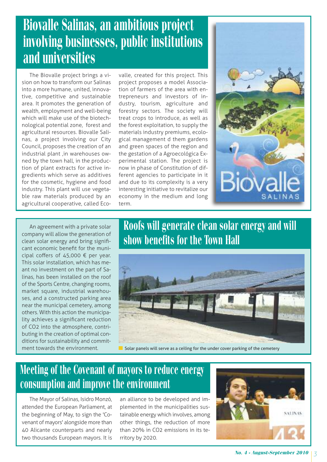## **Biovalle Salinas, an ambitious project involving businesses, public institutions and universities**

The Biovalle project brings a vision on how to transform our Salinas into a more humane, united, innovative, competitive and sustainable area. It promotes the generation of wealth, employment and well-being which will make use of the biotechnological potential zone, forest and agricultural resources. Biovalle Salinas, a project involving our City Council, proposes the creation of an industrial plant ,in warehouses owned by the town hall, in the production of plant extracts for active ingredients which serve as additives for the cosmetic, hygiene and food industry. This plant will use vegetable raw materials produced by an agricultural cooperative, called Eco-

valle, created for this project. This project proposes a model Association of farmers of the area with entrepreneurs and investors of industry, tourism, agriculture and forestry sectors. The society will treat crops to introduce, as well as the forest exploitation, to supply the materials industry premiums, ecological management d them gardens and green spaces of the region and the gestation of a Agroecológica Experimental station. The project is now in phase of Constitution of different agencies to participate in it and due to its complexity is a very interesting initiative to revitalize our economy in the medium and long term.



An agreement with a private solar company will allow the generation of clean solar energy and bring significant economic benefit for the municipal coffers of 45,000 € per year. This solar installation, which has meant no investment on the part of Salinas, has been installed on the roof of the Sports Centre, changing rooms, market square, industrial warehouses, and a constructed parking area near the municipal cemetery, among others. With this action the municipality achieves a significant reduction of CO2 into the atmosphere, contributing in the creation of optimal conditions for sustainability and commitment towards the environment.

#### **Roofs will generate clean solar energy and will show benefits for the Town Hall**



Solar panels will serve as a ceiling for the under cover parking of the cemetery

#### **Meeting of the Covenant of mayors to reduce energy consumption and improve the environment**

The Mayor of Salinas, Isidro Monzó, attended the European Parliament, at the beginning of May, to sign the 'Covenant of mayors' alongside more than 40 Alicante counterparts and nearly two thousands European mayors. It is

an alliance to be developed and implemented in the municipalities sustainable energy which involves, among other things, the reduction of more than 20% in CO2 emissions in its territory by 2020.

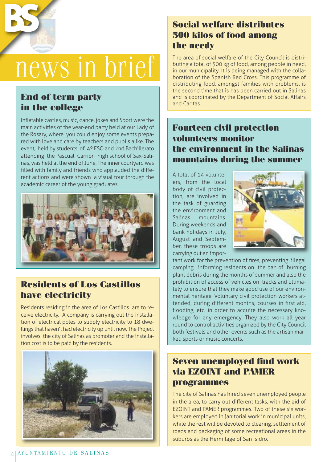

# news in brief

#### **End of term party in the college**

Inflatable castles, music, dance, jokes and Sport were the main activities of the year-end party held at our Lady of the Rosary, where you could enjoy some events prepared with love and care by teachers and pupils alike. The event, held by students of 4º ESO and 2nd Bachillerato attending the Pascual Carrión high school of Sax-Salinas, was held at the end of June. The inner courtyard was filled with family and friends who applauded the different actions and were shown a visual tour through the academic career of the young graduates.



#### **Residents of Los Castillos have electricity**

Residents residing in the area of Los Castillos are to receive electricity. A company is carrying out the installation of electrical poles to supply electricity to 18 dwellings that haven't had electricity up until now. The Project involves the city of Salinas as promoter and the installation cost is to be paid by the residents.



#### **Social welfare distributes 500 kilos of food among the needy**

The area of social welfare of the City Council is distributing a total of 500 kg of food, among people in need, in our municipality. It is being managed with the collaboration of the Spanish Red Cross. This programme of distributing food, amongst families with problems, is the second time that is has been carried out in Salinas and is coordinated by the Department of Social Affairs and Caritas.

#### **Fourteen civil protection volunteers monitor the environment in the Salinas mountains during the summer**

A total of 14 volunteers, from the local body of civil protection, are involved in the task of guarding the environment and Salinas mountains. During weekends and bank holidays in July, August and September, these troops are carrying out an impor-



tant work for the prevention of fires, preventing illegal camping, informing residents on the ban of burning plant debris during the months of summer and also the prohibition of access of vehicles on tracks and ultimately to ensure that they make good use of our environmental heritage. Voluntary civil protection workers attended, during different months, courses in first aid, flooding, etc. in order to acquire the necessary knowledge for any emergency. They also work all year round to control activities organized by the City Council both festivals and other events such as the artisan market, sports or music concerts.

#### **Seven unemployed find work via EZOINT and PAMER programmes**

The city of Salinas has hired seven unemployed people in the area, to carry out different tasks, with the aid of EZOINT and PAMER programmes. Two of these six workers are employed in janitorial work in municipal units, while the rest will be devoted to clearing, settlement of roads and packaging of some recreational areas in the suburbs as the Hermitage of San Isidro.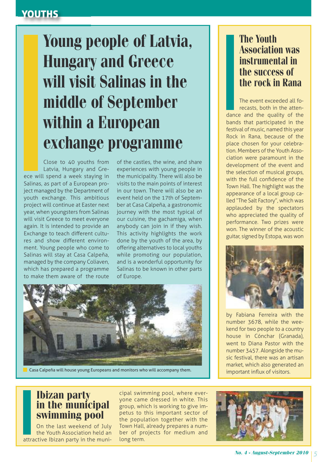#### YOUTHS

# **Young people of Latvia, Hungary and Greece will visit Salinas in the middle of September within a European exchange programme**

Close to 40 youths from Latvia, Hungary and Greece will spend a week staying in Salinas, as part of a European project managed by the Department of youth exchange. This ambitious project will continue at Easter next year, when youngsters from Salinas will visit Greece to meet everyone again. It is intended to provide an Exchange to teach different cultures and show different environment. Young people who come to Salinas will stay at Casa Calpeña, managed by the company Coliaven, which has prepared a programme to make them aware of the route

of the castles, the wine, and share experiences with young people in the municipality. There will also be visits to the main points of interest in our town. There will also be an event held on the 17th of September at Casa Calpeña, a gastronomic journey with the most typical of our cuisine, the gachamiga, when anybody can join in if they wish. This activity highlights the work done by the youth of the area, by offering alternatives to local youths while promoting our population, and is a wonderful opportunity for Salinas to be known in other parts of Europe.



Casa Calpeña will house young Europeans and monitors who will accompany them.

#### **The Youth Association was instrumental in the success of the rock in Rana**

The event exceeded all forecasts, both in the attendance and the quality of the bands that participated in the festival of music, named this year Rock in Rana, because of the place chosen for your celebration. Members of the Youth Association were paramount in the development of the event and the selection of musical groups, with the full confidence of the Town Hall. The highlight was the appearance of a local group called "The Salt Factory", which was applauded by the spectators who appreciated the quality of performance. Two prizes were won. The winner of the acoustic guitar, signed by Estopa, was won



by Fabiana Ferreira with the number 3678, while the weekend for two people to a country house in Cónchar (Granada), went to Diana Pastor with the number 3457. Alongside the music festival, there was an artisan market, which also generated an important influx of visitors.

#### **Ibizan party in the municipal swimming pool**

On the last weekend of July the Youth Association held an attractive Ibizan party in the muni-

cipal swimming pool, where everyone came dressed in white. This group, which is working to give impetus to this important sector of the population together with the Town Hall, already prepares a number of projects for medium and long term.

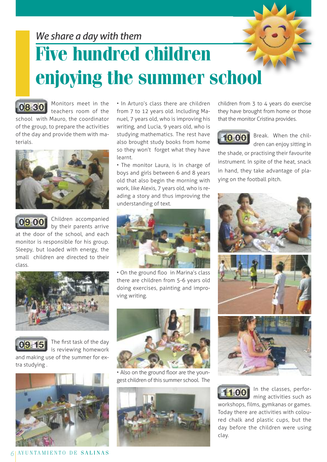

teachers room of the school with Mauro, the coordinator of the group, to prepare the activities of the day and provide them with materials. **08 30**



**09 00**

Children accompanied by their parents arrive at the door of the school, and each

monitor is responsible for his group. Sleepy, but loaded with energy, the small children are directed to their class.







and making use of the summer for extra studying .



*6* AY U N T A M I E N T O D E S A L I N A S

• In Arturo's class there are children from 7 to 12 years old. Including Manuel, 7 years old, who is improving his writing, and Lucia, 9 years old, who is studying mathematics. The rest have also brought study books from home so they won't forget what they have learnt.

• The monitor Laura, is in charge of boys and girls between 6 and 8 years old that also begin the morning with work, like Alexis, 7 years old, who is reading a story and thus improving the understanding of text.



• On the ground floo in Marina's class there are children from 5-6 years old doing exercises, painting and improving writing.



• Also on the ground floor are the youngest children of this summer school. The



children from 3 to 4 years do exercise they have brought from home or those that the monitor Cristina provides.

## **10 00**

Break. When the children can enjoy sitting in

the shade, or practising their favourite instrument. In spite of the heat, snack in hand, they take advantage of playing on the football pitch.





In the classes, performing activities such as

workshops, films, gymkanas or games. Today there are activities with coloured chalk and plastic cups, but the day before the children were using clay.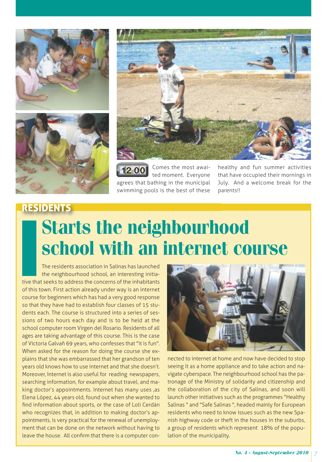





Comes the most awaited moment. Everyone agrees that bathing in the municipal swimming pools is the best of these **12 00**

healthy and fun summer activities that have occupied their mornings in July. And a welcome break for the parents!!

# RESIDENTS **Starts the neighbourhood school with an internet course**

The residents association in Salinas has launched the neighbourhood school, an interesting initiative that seeks to address the concerns of the inhabitants of this town. First action already under way is an internet course for beginners which has had a very good response so that they have had to establish four classes of 15 students each. The course is structured into a series of sessions of two hours each day and is to be held at the school computer room Virgen del Rosario. Residents of all ages are taking advantage of this course. This is the case of Victoria Galvañ 69 years, who confesses that "it is fun". When asked for the reason for doing the course she explains that she was embarrassed that her grandson of ten years old knows how to use internet and that she doesn't. Moreover, Internet is also useful for reading newspapers, searching information, for example about travel, and making doctor's appointments. Internet has many uses ,as Elena López, 44 years old, found out when she wanted to find information about sports, or the case of Loli Cerdán who recognizes that, in addition to making doctor's appointments, is very practical for the renewal of unemployment that can be done on the network without having to leave the house. All confirm that there is a computer con-



nected to internet at home and now have decided to stop seeing it as a home appliance and to take action and navigate cyberspace. The neighbourhood school has the patronage of the Ministry of solidarity and citizenship and the collaboration of the city of Salinas, and soon will launch other initiatives such as the programmes "Healthy Salinas " and "Safe Salinas ", headed mainly for European residents who need to know issues such as the new Spanish highway code or theft in the houses in the suburbs, a group of residents which represent 18% of the population of the municipality.